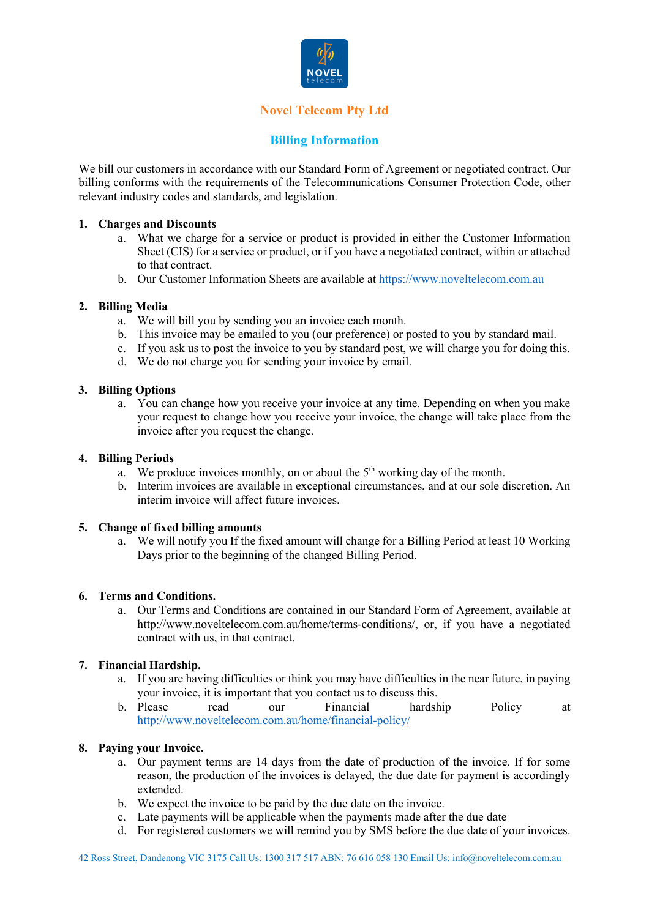

# **Novel Telecom Pty Ltd**

## **Billing Information**

We bill our customers in accordance with our Standard Form of Agreement or negotiated contract. Our billing conforms with the requirements of the Telecommunications Consumer Protection Code, other relevant industry codes and standards, and legislation.

## **1. Charges and Discounts**

- a. What we charge for a service or product is provided in either the Customer Information Sheet (CIS) for a service or product, or if you have a negotiated contract, within or attached to that contract.
- b. Our Customer Information Sheets are available at https://www.noveltelecom.com.au

## **2. Billing Media**

- a. We will bill you by sending you an invoice each month.
- b. This invoice may be emailed to you (our preference) or posted to you by standard mail.
- c. If you ask us to post the invoice to you by standard post, we will charge you for doing this.
- d. We do not charge you for sending your invoice by email.

## **3. Billing Options**

a. You can change how you receive your invoice at any time. Depending on when you make your request to change how you receive your invoice, the change will take place from the invoice after you request the change.

#### **4. Billing Periods**

- a. We produce invoices monthly, on or about the  $5<sup>th</sup>$  working day of the month.
- b. Interim invoices are available in exceptional circumstances, and at our sole discretion. An interim invoice will affect future invoices.

#### **5. Change of fixed billing amounts**

a. We will notify you If the fixed amount will change for a Billing Period at least 10 Working Days prior to the beginning of the changed Billing Period.

#### **6. Terms and Conditions.**

a. Our Terms and Conditions are contained in our Standard Form of Agreement, available at http://www.noveltelecom.com.au/home/terms-conditions/, or, if you have a negotiated contract with us, in that contract.

## **7. Financial Hardship.**

- a. If you are having difficulties or think you may have difficulties in the near future, in paying your invoice, it is important that you contact us to discuss this.
- b. Please read our Financial hardship Policy at http://www.noveltelecom.com.au/home/financial-policy/

## **8. Paying your Invoice.**

- a. Our payment terms are 14 days from the date of production of the invoice. If for some reason, the production of the invoices is delayed, the due date for payment is accordingly extended.
- b. We expect the invoice to be paid by the due date on the invoice.
- c. Late payments will be applicable when the payments made after the due date
- d. For registered customers we will remind you by SMS before the due date of your invoices.